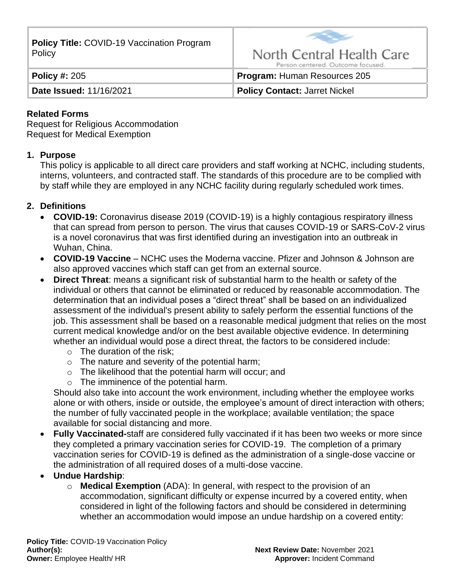**Policy Title:** COVID-19 Vaccination Program Policy



**Policy #:** 205 **Program:** Human Resources 205

**Date Issued:** 11/16/2021 **Policy Contact:** Jarret Nickel

#### **Related Forms**

Request for Religious Accommodation Request for Medical Exemption

#### **1. Purpose**

This policy is applicable to all direct care providers and staff working at NCHC, including students, interns, volunteers, and contracted staff. The standards of this procedure are to be complied with by staff while they are employed in any NCHC facility during regularly scheduled work times.

### **2. Definitions**

- **COVID-19:** Coronavirus disease 2019 (COVID-19) is a highly contagious respiratory illness that can spread from person to person. The virus that causes COVID-19 or SARS-CoV-2 virus is a novel coronavirus that was first identified during an investigation into an outbreak in Wuhan, China.
- **COVID-19 Vaccine** NCHC uses the Moderna vaccine. Pfizer and Johnson & Johnson are also approved vaccines which staff can get from an external source.
- **Direct Threat**: means a significant risk of substantial harm to the health or safety of the individual or others that cannot be eliminated or reduced by reasonable accommodation. The determination that an individual poses a "direct threat" shall be based on an individualized assessment of the individual's present ability to safely perform the essential functions of the job. This assessment shall be based on a reasonable medical judgment that relies on the most current medical knowledge and/or on the best available objective evidence. In determining whether an individual would pose a direct threat, the factors to be considered include:
	- $\circ$  The duration of the risk;
	- $\circ$  The nature and severity of the potential harm;
	- o The likelihood that the potential harm will occur; and
	- o The imminence of the potential harm.

Should also take into account the work environment, including whether the employee works alone or with others, inside or outside, the employee's amount of direct interaction with others; the number of fully vaccinated people in the workplace; available ventilation; the space available for social distancing and more.

- **Fully Vaccinated-**staff are considered fully vaccinated if it has been two weeks or more since they completed a primary vaccination series for COVID-19. The completion of a primary vaccination series for COVID-19 is defined as the administration of a single-dose vaccine or the administration of all required doses of a multi-dose vaccine.
- **Undue Hardship**:
	- o **Medical Exemption** (ADA): In general, with respect to the provision of an accommodation, significant difficulty or expense incurred by a covered entity, when considered in light of the following factors and should be considered in determining whether an accommodation would impose an undue hardship on a covered entity: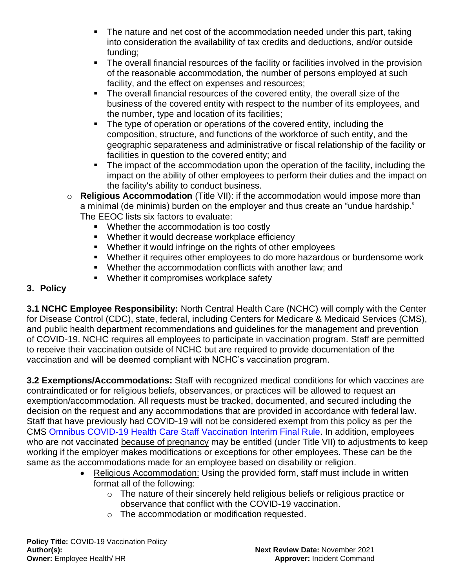- The nature and net cost of the accommodation needed under this part, taking into consideration the availability of tax credits and deductions, and/or outside funding;
- The overall financial resources of the facility or facilities involved in the provision of the reasonable accommodation, the number of persons employed at such facility, and the effect on expenses and resources;
- The overall financial resources of the covered entity, the overall size of the business of the covered entity with respect to the number of its employees, and the number, type and location of its facilities;
- The type of operation or operations of the covered entity, including the composition, structure, and functions of the workforce of such entity, and the geographic separateness and administrative or fiscal relationship of the facility or facilities in question to the covered entity; and
- The impact of the accommodation upon the operation of the facility, including the impact on the ability of other employees to perform their duties and the impact on the facility's ability to conduct business.
- o **Religious Accommodation** (Title VII): if the accommodation would impose more than a minimal (de minimis) burden on the employer and thus create an "undue hardship." The EEOC lists six factors to evaluate:
	- Whether the accommodation is too costly
	- Whether it would decrease workplace efficiency
	- Whether it would infringe on the rights of other employees
	- Whether it requires other employees to do more hazardous or burdensome work
	- Whether the accommodation conflicts with another law: and
	- Whether it compromises workplace safety

## **3. Policy**

**3.1 NCHC Employee Responsibility:** North Central Health Care (NCHC) will comply with the Center for Disease Control (CDC), state, federal, including Centers for Medicare & Medicaid Services (CMS), and public health department recommendations and guidelines for the management and prevention of COVID-19. NCHC requires all employees to participate in vaccination program. Staff are permitted to receive their vaccination outside of NCHC but are required to provide documentation of the vaccination and will be deemed compliant with NCHC's vaccination program.

**3.2 Exemptions/Accommodations:** Staff with recognized medical conditions for which vaccines are contraindicated or for religious beliefs, observances, or practices will be allowed to request an exemption/accommodation. All requests must be tracked, documented, and secured including the decision on the request and any accommodations that are provided in accordance with federal law. Staff that have previously had COVID-19 will not be considered exempt from this policy as per the CMS [Omnibus COVID-19 Health Care Staff Vaccination Interim Final Rule.](https://public-inspection.federalregister.gov/2021-23831.pdf) In addition, employees who are not vaccinated because of pregnancy may be entitled (under Title VII) to adjustments to keep working if the employer makes modifications or exceptions for other employees. These can be the same as the accommodations made for an employee based on disability or religion.

- Religious Accommodation: Using the provided form, staff must include in written format all of the following:
	- o The nature of their sincerely held religious beliefs or religious practice or observance that conflict with the COVID-19 vaccination.
	- o The accommodation or modification requested.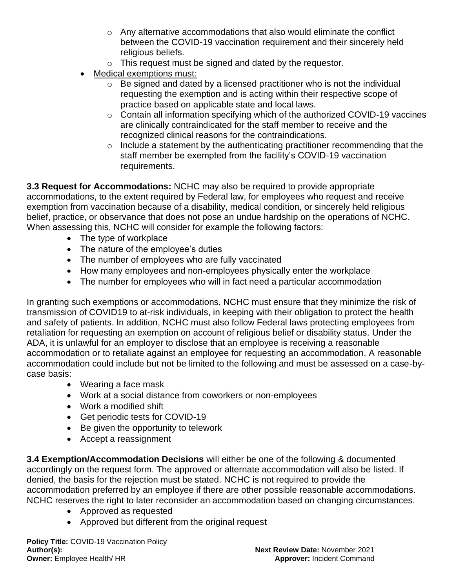- $\circ$  Any alternative accommodations that also would eliminate the conflict between the COVID-19 vaccination requirement and their sincerely held religious beliefs.
- o This request must be signed and dated by the requestor.
- Medical exemptions must:
	- $\circ$  Be signed and dated by a licensed practitioner who is not the individual requesting the exemption and is acting within their respective scope of practice based on applicable state and local laws.
	- o Contain all information specifying which of the authorized COVID-19 vaccines are clinically contraindicated for the staff member to receive and the recognized clinical reasons for the contraindications.
	- $\circ$  Include a statement by the authenticating practitioner recommending that the staff member be exempted from the facility's COVID-19 vaccination requirements.

**3.3 Request for Accommodations:** NCHC may also be required to provide appropriate accommodations, to the extent required by Federal law, for employees who request and receive exemption from vaccination because of a disability, medical condition, or sincerely held religious belief, practice, or observance that does not pose an undue hardship on the operations of NCHC. When assessing this, NCHC will consider for example the following factors:

- The type of workplace
- The nature of the employee's duties
- The number of employees who are fully vaccinated
- How many employees and non-employees physically enter the workplace
- The number for employees who will in fact need a particular accommodation

In granting such exemptions or accommodations, NCHC must ensure that they minimize the risk of transmission of COVID19 to at-risk individuals, in keeping with their obligation to protect the health and safety of patients. In addition, NCHC must also follow Federal laws protecting employees from retaliation for requesting an exemption on account of religious belief or disability status. Under the ADA, it is unlawful for an employer to disclose that an employee is receiving a reasonable accommodation or to retaliate against an employee for requesting an accommodation. A reasonable accommodation could include but not be limited to the following and must be assessed on a case-bycase basis:

- Wearing a face mask
- Work at a social distance from coworkers or non-employees
- Work a modified shift
- Get periodic tests for COVID-19
- Be given the opportunity to telework
- Accept a reassignment

**3.4 Exemption/Accommodation Decisions** will either be one of the following & documented accordingly on the request form. The approved or alternate accommodation will also be listed. If denied, the basis for the rejection must be stated. NCHC is not required to provide the accommodation preferred by an employee if there are other possible reasonable accommodations. NCHC reserves the right to later reconsider an accommodation based on changing circumstances.

- Approved as requested
- Approved but different from the original request

**Policy Title:** COVID-19 Vaccination Policy **Author(s): Next Review Date:** November 2021 **Owner:** Employee Health/ HR **Approver:** Incident Command